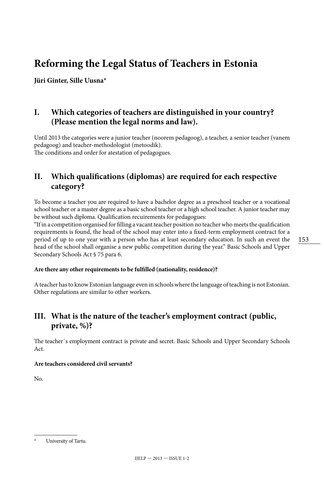# **Reforming the Legal Status of Teachers in Estonia**

**Jüri Ginter, Sille Uusna\***

# **I. Which categories of teachers are distinguished in your country? (Please mention the legal norms and law).**

Until 2013 the categories were a junior teacher (noorem pedagoog), a teacher, a senior teacher (vanem pedagoog) and teacher-methodologist (metoodik). The conditions and order for atestation of pedagogues.

# **II. Which qualifications (diplomas) are required for each respective category?**

To become a teacher you are required to have a bachelor degree as a preschool teacher or a vocational school teacher or a master degree as a basic school teacher or a high school teacher. A junior teacher may be without such diploma. Qualification recuirements for pedagogues:

"If in a competition organised for filling a vacant teacher position no teacher who meets the qualification requirements is found, the head of the school may enter into a fixed-term employment contract for a period of up to one year with a person who has at least secondary education. In such an event the head of the school shall organise a new public competition during the year." Basic Schools and Upper Secondary Schools Act § 75 para 6.

#### **Are there any other requirements to be fulfilled (nationality, residence)?**

A teacher has to know Estonian language even in schools where the language of teaching is not Estonian. Other regulations are similar to other workers.

# **III. What is the nature of the teacher's employment contract (public, private, %)?**

The teacher´s employment contract is private and secret. Basic Schools and Upper Secondary Schools  $Act$ 

#### **Are teachers considered civil servants?**

No.

<sup>153</sup>

University of Tartu.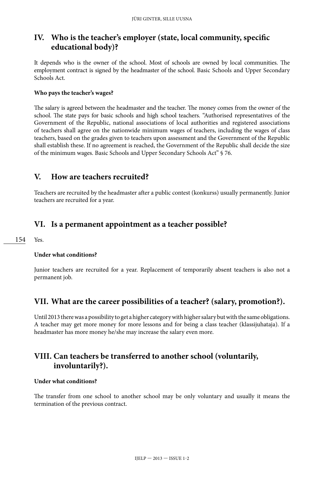# **IV. Who is the teacher's employer (state, local community, specific educational body)?**

It depends who is the owner of the school. Most of schools are owned by local communities. The employment contract is signed by the headmaster of the school. Basic Schools and Upper Secondary Schools Act.

#### **Who pays the teacher's wages?**

The salary is agreed between the headmaster and the teacher. The money comes from the owner of the school. The state pays for basic schools and high school teachers. "Authorised representatives of the Government of the Republic, national associations of local authorities and registered associations of teachers shall agree on the nationwide minimum wages of teachers, including the wages of class teachers, based on the grades given to teachers upon assessment and the Government of the Republic shall establish these. If no agreement is reached, the Government of the Republic shall decide the size of the minimum wages. Basic Schools and Upper Secondary Schools Act" § 76.

### **V. How are teachers recruited?**

Teachers are recruited by the headmaster after a public contest (konkurss) usually permanently. Junior teachers are recruited for a year.

### **VI. Is a permanent appointment as a teacher possible?**

154

Yes.

#### **Under what conditions?**

Junior teachers are recruited for a year. Replacement of temporarily absent teachers is also not a permanent job.

### **VII. What are the career possibilities of a teacher? (salary, promotion?).**

Until 2013 there was a possibility to get a higher category with higher salary but with the same obligations. A teacher may get more money for more lessons and for being a class teacher (klassijuhataja). If a headmaster has more money he/she may increase the salary even more.

### **VIII. Can teachers be transferred to another school (voluntarily, involuntarily?).**

#### **Under what conditions?**

The transfer from one school to another school may be only voluntary and usually it means the termination of the previous contract.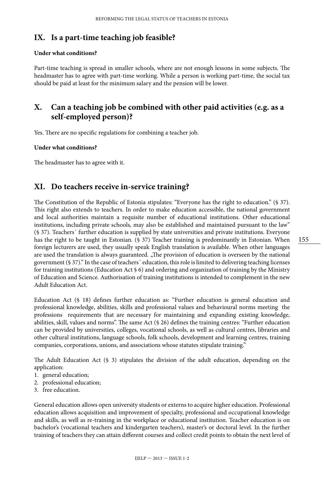### **IX. Is a part-time teaching job feasible?**

#### **Under what conditions?**

Part-time teaching is spread in smaller schools, where are not enough lessons in some subjects. The headmaster has to agree with part-time working. While a person is working part-time, the social tax should be paid at least for the minimum salary and the pension will be lower.

### **X. Can a teaching job be combined with other paid activities (e.g. as a self-employed person)?**

Yes. There are no specific regulations for combining a teacher job.

#### **Under what conditions?**

The headmaster has to agree with it.

### **XI. Do teachers receive in-service training?**

The Constitution of the Republic of Estonia stipulates: "Everyone has the right to education." (§ 37). This right also extends to teachers. In order to make education accessible, the national government and local authorities maintain a requisite number of educational institutions. Other educational institutions, including private schools, may also be established and maintained pursuant to the law" (§ 37). Teachers´ further education is supplied by state universities and private institutions. Everyone has the right to be taught in Estonian. (§ 37) Teacher training is predominantly in Estonian. When foreign lecturers are used, they usually speak English translation is available. When other languages are used the translation is always guaranteed. "The provision of education is overseen by the national government (§ 37)." In the case of teachers´ education, this role is limited to delivering teaching licenses for training institutions (Education Act § 6) and ordering and organization of training by the Ministry of Education and Science. Authorisation of training institutions is intended to complement in the new Adult Education Act.

Education Act (§ 18) defines further education as: "Further education is general education and professional knowledge, abilities, skills and professional values and behavioural norms meeting the professions requirements that are necessary for maintaining and expanding existing knowledge, abilities, skill, values and norms". The same Act (§ 26) defines the training centres: "Further education can be provided by universities, colleges, vocational schools, as well as cultural centres, libraries and other cultural institutions, language schools, folk schools, development and learning centres, training companies, corporations, unions, and associations whose statutes stipulate training."

The Adult Education Act (§ 3) stipulates the division of the adult education, depending on the application:

- 1. general education;
- 2. professional education;
- 3. free education.

General education allows open university students or externs to acquire higher education. Professional education allows acquisition and improvement of specialty, professional and occupational knowledge and skills, as well as re-training in the workplace or educational institution. Teacher education is on bachelor's (vocational teachers and kindergarten teachers), master's or doctoral level. In the further training of teachers they can attain different courses and collect credit points to obtain the next level of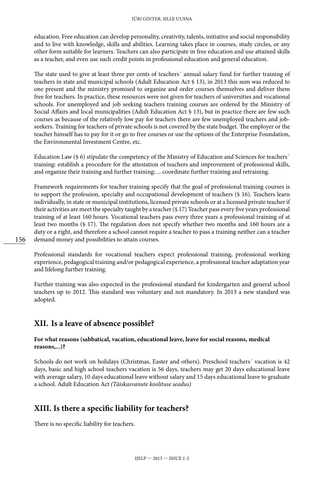#### JÜRI GINTER, SILLE UUSNA

education. Free education can develop personality, creativity, talents, initiative and social responsibility and to live with knowledge, skills and abilities. Learning takes place in courses, study circles, or any other form suitable for learners. Teachers can also participate in free education and use attained skills as a teacher, and even use such credit points in professional education and general education.

The state used to give at least three per cents of teachers´ annual salary fund for further training of teachers in state and municipal schools (Adult Education Act § 13), in 2013 this sum was reduced to one present and the ministry promised to organize and order courses themselves and deliver them free for teachers. In practice, these resources were not given for teachers of universities and vocational schools. For unemployed and job seeking teachers training courses are ordered by the Ministry of Social Affairs and local municipalities (Adult Education Act § 13), but in practice there are few such courses as because of the relatively low pay for teachers there are few unemployed teachers and jobseekers. Training for teachers of private schools is not covered by the state budget. The employer or the teacher himself has to pay for it or go to free courses or use the options of the Enterprise Foundation, the Environmental Investment Centre, etc.

Education Law (§ 6) stipulate the competency of the Ministry of Education and Sciences for teachers´ training: establish a procedure for the attestation of teachers and improvement of professional skills, and organize their training and further training; ... coordinate further training and retraining.

Framework requirements for teacher training specify that the goal of professional training courses is to support the profession, specialty and occupational development of teachers (§ 16). Teachers learn individually, in state or municipal institutions, licensed private schools or at a licensed private teacher if their activities are meet the specialty taught by a teacher (§ 17) Teacher pass every five years professional training of at least 160 hours. Vocational teachers pass every three years a professional training of at least two months (§ 17). The regulation does not specify whether two months and 160 hours are a duty or a right, and therefore a school cannot require a teacher to pass a training neither can a teacher demand money and possibilities to attain courses.

Professional standards for vocational teachers expect professional training, professional working experience, pedagogical training and/or pedagogical experience, a professional teacher adaptation year and lifelong further training.

Further training was also expected in the professional standard for kindergarten and general school teachers up to 2012. This standard was voluntary and not mandatory. In 2013 a new standard was adopted.

### **XII. Is a leave of absence possible?**

#### **For what reasons (sabbatical, vacation, educational leave, leave for social reasons, medical reasons,...)?**

Schools do not work on holidays (Christmas, Easter and others). Preschool teachers´ vacation is 42 days, basic and high school teachers vacation is 56 days, teachers may get 20 days educational leave with average salary, 10 days educational leave without salary and 15 days educational leave to graduate a school. Adult Education Act *(Täiskasvanute koolituse seadus)*

# **XIII. Is there a specific liability for teachers?**

There is no specific liability for teachers.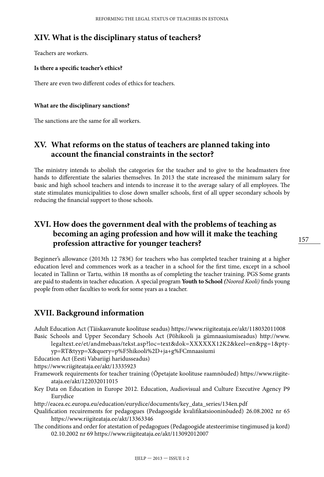### **XIV. What is the disciplinary status of teachers?**

Teachers are workers.

#### **Is there a specific teacher's ethics?**

There are even two different codes of ethics for teachers.

#### **What are the disciplinary sanctions?**

The sanctions are the same for all workers.

# **XV. What reforms on the status of teachers are planned taking into account the financial constraints in the sector?**

The ministry intends to abolish the categories for the teacher and to give to the headmasters free hands to differentiate the salaries themselves. In 2013 the state increased the minimum salary for basic and high school teachers and intends to increase it to the average salary of all employees. The state stimulates municipalities to close down smaller schools, first of all upper secondary schools by reducing the financial support to those schools.

# **XVI. How does the government deal with the problems of teaching as becoming an aging profession and how will it make the teaching profession attractive for younger teachers?**

Beginner's allowance (2013th 12 783€) for teachers who has completed teacher training at a higher education level and commences work as a teacher in a school for the first time, except in a school located in Tallinn or Tartu, within 18 months as of completing the teacher training. PGS Some grants are paid to students in teacher education. A special program **Youth to School** *(Noored Kooli)* finds young people from other faculties to work for some years as a teacher.

### **XVII. Background information**

Adult Education Act (Täiskasvanute koolituse seadus) https://www.riigiteataja.ee/akt/118032011008 Basic Schools and Upper Secondary Schools Act (Põhikooli ja gümnaasiumiseadus) [http://www.](http://www.legaltext.ee/et/andmebaas/tekst.asp?loc=text&dok=XXXXXX12K2&keel=en&pg=1&ptyyp=RT&tyyp=X&query=p%F5hikooli%2D+ja+g%FCmnaasiumi)

[legaltext.ee/et/andmebaas/tekst.asp?loc=text&dok=XXXXXX12K2&keel=en&pg=1&pty-](http://www.legaltext.ee/et/andmebaas/tekst.asp?loc=text&dok=XXXXXX12K2&keel=en&pg=1&ptyyp=RT&tyyp=X&query=p%F5hikooli%2D+ja+g%FCmnaasiumi)

[yp=RT&tyyp=X&query=p%F5hikooli%2D+ja+g%FCmnaasiumi](http://www.legaltext.ee/et/andmebaas/tekst.asp?loc=text&dok=XXXXXX12K2&keel=en&pg=1&ptyyp=RT&tyyp=X&query=p%F5hikooli%2D+ja+g%FCmnaasiumi)

Education Act (Eesti Vabariigi haridusseadus)

https://www.riigiteataja.ee/akt/13335923

- Framework requirements for teacher training (Õpetajate koolituse raamnõuded) https://www.riigiteataja.ee/akt/122032011015
- Key Data on Education in Europe 2012. Education, Audiovisual and Culture Executive Agency P9 Eurydice

http://eacea.ec.europa.eu/education/eurydice/documents/key\_data\_series/134en.pdf

- Qualification recuirements for pedagogues (Pedagoogide kvalifikatsiooninõuded) 26.08.2002 nr 65 https://www.riigiteataja.ee/akt/13363346
- The conditions and order for atestation of pedagogues (Pedagoogide atesteerimise tingimused ja kord) 02.10.2002 nr 69 https://www.riigiteataja.ee/akt/113092012007